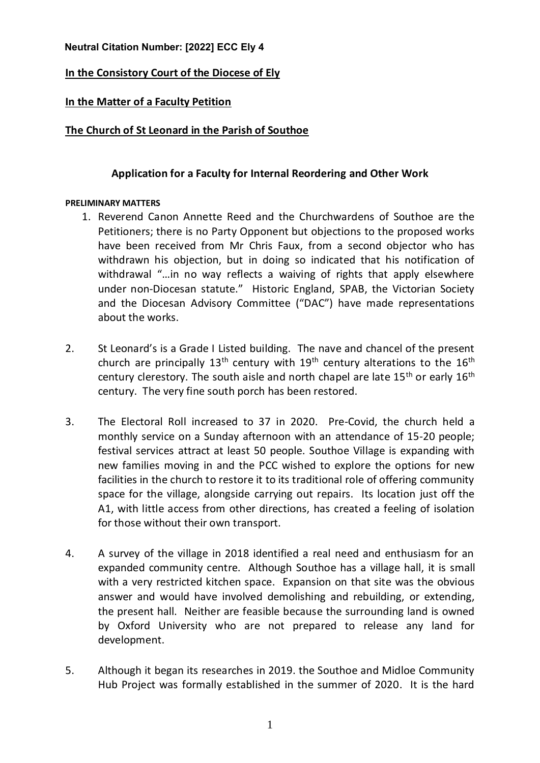## **Neutral Citation Number: [2022] ECC Ely 4**

# **In the Consistory Court of the Diocese of Ely**

## **In the Matter of a Faculty Petition**

## **The Church of St Leonard in the Parish of Southoe**

## **Application for a Faculty for Internal Reordering and Other Work**

### **PRELIMINARY MATTERS**

- 1. Reverend Canon Annette Reed and the Churchwardens of Southoe are the Petitioners; there is no Party Opponent but objections to the proposed works have been received from Mr Chris Faux, from a second objector who has withdrawn his objection, but in doing so indicated that his notification of withdrawal "…in no way reflects a waiving of rights that apply elsewhere under non-Diocesan statute." Historic England, SPAB, the Victorian Society and the Diocesan Advisory Committee ("DAC") have made representations about the works.
- 2. St Leonard's is a Grade I Listed building. The nave and chancel of the present church are principally 13<sup>th</sup> century with 19<sup>th</sup> century alterations to the 16<sup>th</sup> century clerestory. The south aisle and north chapel are late  $15<sup>th</sup>$  or early  $16<sup>th</sup>$ century. The very fine south porch has been restored.
- 3. The Electoral Roll increased to 37 in 2020. Pre-Covid, the church held a monthly service on a Sunday afternoon with an attendance of 15-20 people; festival services attract at least 50 people. Southoe Village is expanding with new families moving in and the PCC wished to explore the options for new facilities in the church to restore it to its traditional role of offering community space for the village, alongside carrying out repairs. Its location just off the A1, with little access from other directions, has created a feeling of isolation for those without their own transport.
- 4. A survey of the village in 2018 identified a real need and enthusiasm for an expanded community centre. Although Southoe has a village hall, it is small with a very restricted kitchen space. Expansion on that site was the obvious answer and would have involved demolishing and rebuilding, or extending, the present hall. Neither are feasible because the surrounding land is owned by Oxford University who are not prepared to release any land for development.
- 5. Although it began its researches in 2019. the Southoe and Midloe Community Hub Project was formally established in the summer of 2020. It is the hard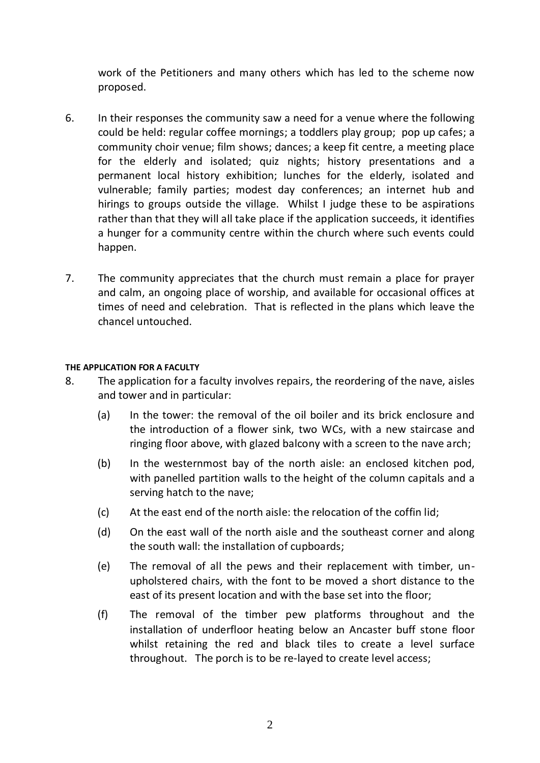work of the Petitioners and many others which has led to the scheme now proposed.

- 6. In their responses the community saw a need for a venue where the following could be held: regular coffee mornings; a toddlers play group; pop up cafes; a community choir venue; film shows; dances; a keep fit centre, a meeting place for the elderly and isolated; quiz nights; history presentations and a permanent local history exhibition; lunches for the elderly, isolated and vulnerable; family parties; modest day conferences; an internet hub and hirings to groups outside the village. Whilst I judge these to be aspirations rather than that they will all take place if the application succeeds, it identifies a hunger for a community centre within the church where such events could happen.
- 7. The community appreciates that the church must remain a place for prayer and calm, an ongoing place of worship, and available for occasional offices at times of need and celebration. That is reflected in the plans which leave the chancel untouched.

### **THE APPLICATION FOR A FACULTY**

- 8. The application for a faculty involves repairs, the reordering of the nave, aisles and tower and in particular:
	- (a) In the tower: the removal of the oil boiler and its brick enclosure and the introduction of a flower sink, two WCs, with a new staircase and ringing floor above, with glazed balcony with a screen to the nave arch;
	- (b) In the westernmost bay of the north aisle: an enclosed kitchen pod, with panelled partition walls to the height of the column capitals and a serving hatch to the nave;
	- (c) At the east end of the north aisle: the relocation of the coffin lid;
	- (d) On the east wall of the north aisle and the southeast corner and along the south wall: the installation of cupboards;
	- (e) The removal of all the pews and their replacement with timber, unupholstered chairs, with the font to be moved a short distance to the east of its present location and with the base set into the floor;
	- (f) The removal of the timber pew platforms throughout and the installation of underfloor heating below an Ancaster buff stone floor whilst retaining the red and black tiles to create a level surface throughout. The porch is to be re-layed to create level access;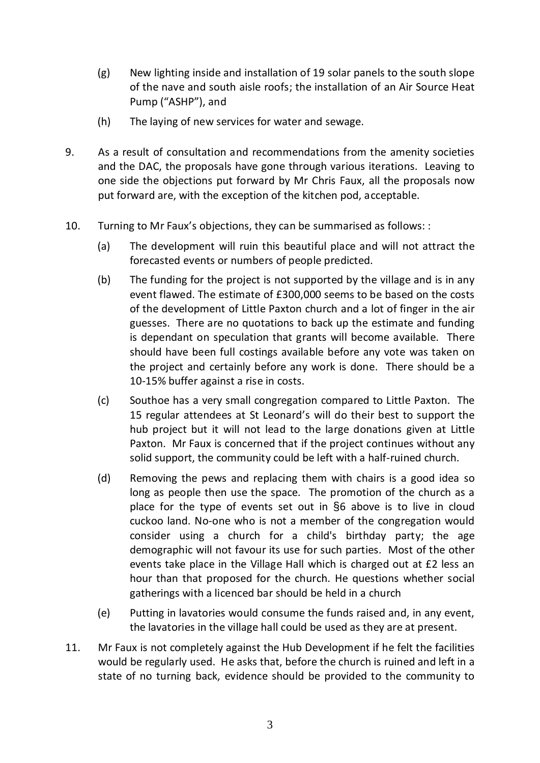- (g) New lighting inside and installation of 19 solar panels to the south slope of the nave and south aisle roofs; the installation of an Air Source Heat Pump ("ASHP"), and
- (h) The laying of new services for water and sewage.
- 9. As a result of consultation and recommendations from the amenity societies and the DAC, the proposals have gone through various iterations. Leaving to one side the objections put forward by Mr Chris Faux, all the proposals now put forward are, with the exception of the kitchen pod, acceptable.
- 10. Turning to Mr Faux's objections, they can be summarised as follows: :
	- (a) The development will ruin this beautiful place and will not attract the forecasted events or numbers of people predicted.
	- (b) The funding for the project is not supported by the village and is in any event flawed. The estimate of £300,000 seems to be based on the costs of the development of Little Paxton church and a lot of finger in the air guesses. There are no quotations to back up the estimate and funding is dependant on speculation that grants will become available. There should have been full costings available before any vote was taken on the project and certainly before any work is done. There should be a 10-15% buffer against a rise in costs.
	- (c) Southoe has a very small congregation compared to Little Paxton. The 15 regular attendees at St Leonard's will do their best to support the hub project but it will not lead to the large donations given at Little Paxton. Mr Faux is concerned that if the project continues without any solid support, the community could be left with a half-ruined church.
	- (d) Removing the pews and replacing them with chairs is a good idea so long as people then use the space. The promotion of the church as a place for the type of events set out in §6 above is to live in cloud cuckoo land. No-one who is not a member of the congregation would consider using a church for a child's birthday party; the age demographic will not favour its use for such parties. Most of the other events take place in the Village Hall which is charged out at £2 less an hour than that proposed for the church. He questions whether social gatherings with a licenced bar should be held in a church
	- (e) Putting in lavatories would consume the funds raised and, in any event, the lavatories in the village hall could be used as they are at present.
- 11. Mr Faux is not completely against the Hub Development if he felt the facilities would be regularly used. He asks that, before the church is ruined and left in a state of no turning back, evidence should be provided to the community to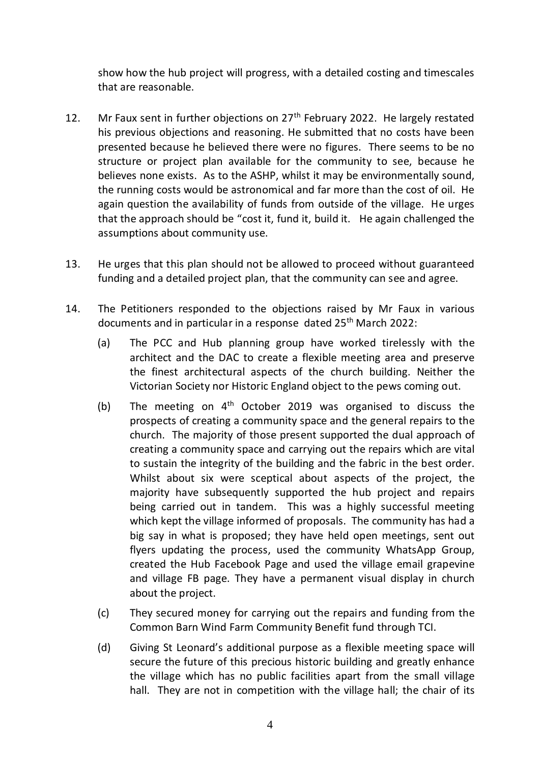show how the hub project will progress, with a detailed costing and timescales that are reasonable.

- 12. Mr Faux sent in further objections on  $27<sup>th</sup>$  February 2022. He largely restated his previous objections and reasoning. He submitted that no costs have been presented because he believed there were no figures. There seems to be no structure or project plan available for the community to see, because he believes none exists. As to the ASHP, whilst it may be environmentally sound, the running costs would be astronomical and far more than the cost of oil. He again question the availability of funds from outside of the village. He urges that the approach should be "cost it, fund it, build it. He again challenged the assumptions about community use.
- 13. He urges that this plan should not be allowed to proceed without guaranteed funding and a detailed project plan, that the community can see and agree.
- 14. The Petitioners responded to the objections raised by Mr Faux in various documents and in particular in a response dated 25<sup>th</sup> March 2022:
	- (a) The PCC and Hub planning group have worked tirelessly with the architect and the DAC to create a flexible meeting area and preserve the finest architectural aspects of the church building. Neither the Victorian Society nor Historic England object to the pews coming out.
	- (b) The meeting on  $4<sup>th</sup>$  October 2019 was organised to discuss the prospects of creating a community space and the general repairs to the church. The majority of those present supported the dual approach of creating a community space and carrying out the repairs which are vital to sustain the integrity of the building and the fabric in the best order. Whilst about six were sceptical about aspects of the project, the majority have subsequently supported the hub project and repairs being carried out in tandem. This was a highly successful meeting which kept the village informed of proposals. The community has had a big say in what is proposed; they have held open meetings, sent out flyers updating the process, used the community WhatsApp Group, created the Hub Facebook Page and used the village email grapevine and village FB page. They have a permanent visual display in church about the project.
	- (c) They secured money for carrying out the repairs and funding from the Common Barn Wind Farm Community Benefit fund through TCI.
	- (d) Giving St Leonard's additional purpose as a flexible meeting space will secure the future of this precious historic building and greatly enhance the village which has no public facilities apart from the small village hall. They are not in competition with the village hall; the chair of its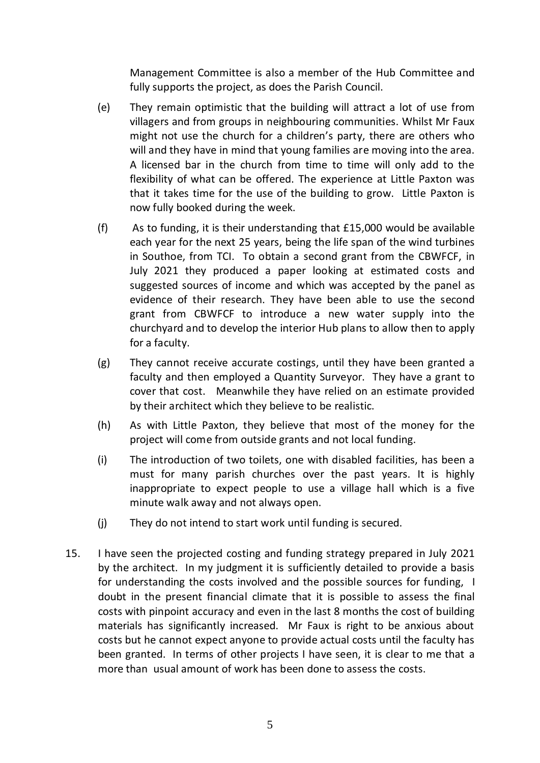Management Committee is also a member of the Hub Committee and fully supports the project, as does the Parish Council.

- (e) They remain optimistic that the building will attract a lot of use from villagers and from groups in neighbouring communities. Whilst Mr Faux might not use the church for a children's party, there are others who will and they have in mind that young families are moving into the area. A licensed bar in the church from time to time will only add to the flexibility of what can be offered. The experience at Little Paxton was that it takes time for the use of the building to grow. Little Paxton is now fully booked during the week.
- (f) As to funding, it is their understanding that £15,000 would be available each year for the next 25 years, being the life span of the wind turbines in Southoe, from TCI. To obtain a second grant from the CBWFCF, in July 2021 they produced a paper looking at estimated costs and suggested sources of income and which was accepted by the panel as evidence of their research. They have been able to use the second grant from CBWFCF to introduce a new water supply into the churchyard and to develop the interior Hub plans to allow then to apply for a faculty.
- (g) They cannot receive accurate costings, until they have been granted a faculty and then employed a Quantity Surveyor. They have a grant to cover that cost. Meanwhile they have relied on an estimate provided by their architect which they believe to be realistic.
- (h) As with Little Paxton, they believe that most of the money for the project will come from outside grants and not local funding.
- (i) The introduction of two toilets, one with disabled facilities, has been a must for many parish churches over the past years. It is highly inappropriate to expect people to use a village hall which is a five minute walk away and not always open.
- (j) They do not intend to start work until funding is secured.
- 15. I have seen the projected costing and funding strategy prepared in July 2021 by the architect. In my judgment it is sufficiently detailed to provide a basis for understanding the costs involved and the possible sources for funding, I doubt in the present financial climate that it is possible to assess the final costs with pinpoint accuracy and even in the last 8 months the cost of building materials has significantly increased. Mr Faux is right to be anxious about costs but he cannot expect anyone to provide actual costs until the faculty has been granted. In terms of other projects I have seen, it is clear to me that a more than usual amount of work has been done to assess the costs.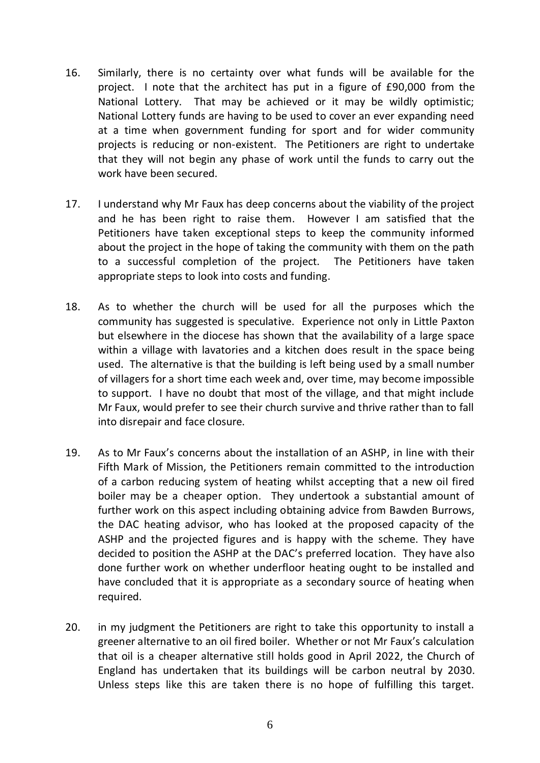- 16. Similarly, there is no certainty over what funds will be available for the project. I note that the architect has put in a figure of £90,000 from the National Lottery. That may be achieved or it may be wildly optimistic; National Lottery funds are having to be used to cover an ever expanding need at a time when government funding for sport and for wider community projects is reducing or non-existent. The Petitioners are right to undertake that they will not begin any phase of work until the funds to carry out the work have been secured.
- 17. I understand why Mr Faux has deep concerns about the viability of the project and he has been right to raise them. However I am satisfied that the Petitioners have taken exceptional steps to keep the community informed about the project in the hope of taking the community with them on the path to a successful completion of the project. The Petitioners have taken appropriate steps to look into costs and funding.
- 18. As to whether the church will be used for all the purposes which the community has suggested is speculative. Experience not only in Little Paxton but elsewhere in the diocese has shown that the availability of a large space within a village with lavatories and a kitchen does result in the space being used. The alternative is that the building is left being used by a small number of villagers for a short time each week and, over time, may become impossible to support. I have no doubt that most of the village, and that might include Mr Faux, would prefer to see their church survive and thrive rather than to fall into disrepair and face closure.
- 19. As to Mr Faux's concerns about the installation of an ASHP, in line with their Fifth Mark of Mission, the Petitioners remain committed to the introduction of a carbon reducing system of heating whilst accepting that a new oil fired boiler may be a cheaper option. They undertook a substantial amount of further work on this aspect including obtaining advice from Bawden Burrows, the DAC heating advisor, who has looked at the proposed capacity of the ASHP and the projected figures and is happy with the scheme. They have decided to position the ASHP at the DAC's preferred location. They have also done further work on whether underfloor heating ought to be installed and have concluded that it is appropriate as a secondary source of heating when required.
- 20. in my judgment the Petitioners are right to take this opportunity to install a greener alternative to an oil fired boiler. Whether or not Mr Faux's calculation that oil is a cheaper alternative still holds good in April 2022, the Church of England has undertaken that its buildings will be carbon neutral by 2030. Unless steps like this are taken there is no hope of fulfilling this target.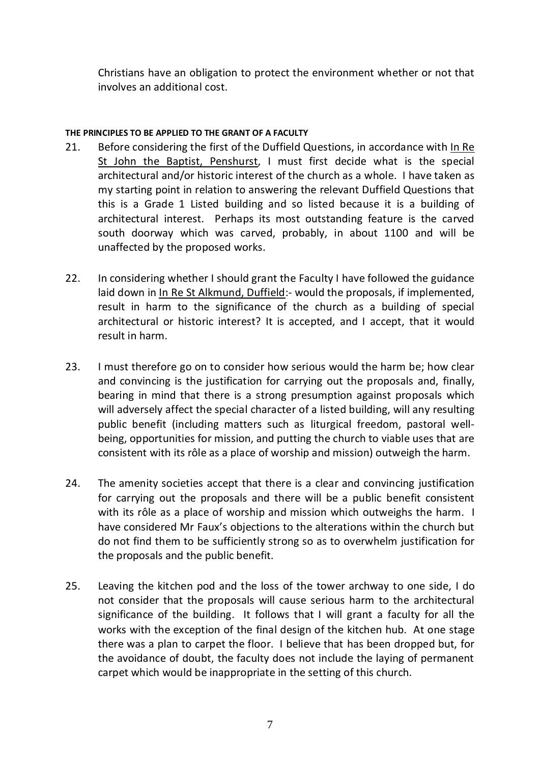Christians have an obligation to protect the environment whether or not that involves an additional cost.

### **THE PRINCIPLES TO BE APPLIED TO THE GRANT OF A FACULTY**

- 21. Before considering the first of the Duffield Questions, in accordance with In Re St John the Baptist, Penshurst, I must first decide what is the special architectural and/or historic interest of the church as a whole. I have taken as my starting point in relation to answering the relevant Duffield Questions that this is a Grade 1 Listed building and so listed because it is a building of architectural interest. Perhaps its most outstanding feature is the carved south doorway which was carved, probably, in about 1100 and will be unaffected by the proposed works.
- 22. In considering whether I should grant the Faculty I have followed the guidance laid down in In Re St Alkmund, Duffield:- would the proposals, if implemented, result in harm to the significance of the church as a building of special architectural or historic interest? It is accepted, and I accept, that it would result in harm.
- 23. I must therefore go on to consider how serious would the harm be; how clear and convincing is the justification for carrying out the proposals and, finally, bearing in mind that there is a strong presumption against proposals which will adversely affect the special character of a listed building, will any resulting public benefit (including matters such as liturgical freedom, pastoral wellbeing, opportunities for mission, and putting the church to viable uses that are consistent with its rôle as a place of worship and mission) outweigh the harm.
- 24. The amenity societies accept that there is a clear and convincing justification for carrying out the proposals and there will be a public benefit consistent with its rôle as a place of worship and mission which outweighs the harm. I have considered Mr Faux's objections to the alterations within the church but do not find them to be sufficiently strong so as to overwhelm justification for the proposals and the public benefit.
- 25. Leaving the kitchen pod and the loss of the tower archway to one side, I do not consider that the proposals will cause serious harm to the architectural significance of the building. It follows that I will grant a faculty for all the works with the exception of the final design of the kitchen hub. At one stage there was a plan to carpet the floor. I believe that has been dropped but, for the avoidance of doubt, the faculty does not include the laying of permanent carpet which would be inappropriate in the setting of this church.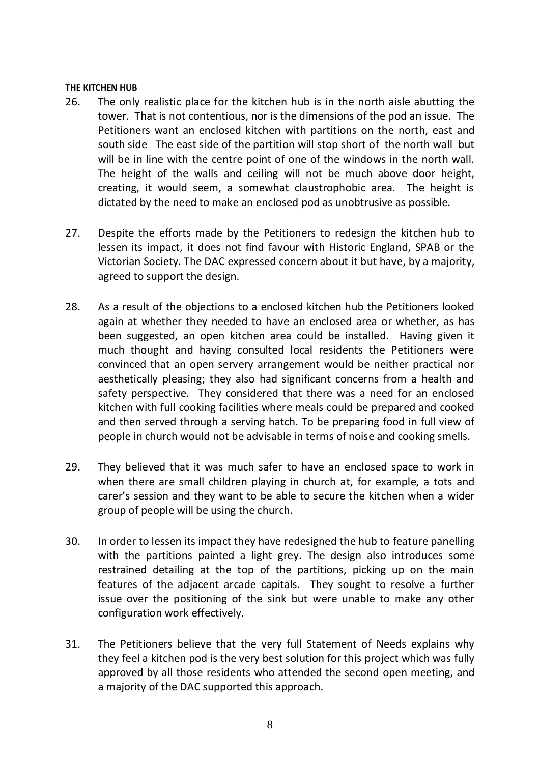#### **THE KITCHEN HUB**

- 26. The only realistic place for the kitchen hub is in the north aisle abutting the tower. That is not contentious, nor is the dimensions of the pod an issue. The Petitioners want an enclosed kitchen with partitions on the north, east and south side The east side of the partition will stop short of the north wall but will be in line with the centre point of one of the windows in the north wall. The height of the walls and ceiling will not be much above door height, dictated by the need to make an enclosed pod as unobtrusive as possible. creating, it would seem, a somewhat claustrophobic area. The height is
- 27. Despite the efforts made by the Petitioners to redesign the kitchen hub to lessen its impact, it does not find favour with Historic England, SPAB or the Victorian Society. The DAC expressed concern about it but have, by a majority, agreed to support the design.
- 28. As a result of the objections to a enclosed kitchen hub the Petitioners looked again at whether they needed to have an enclosed area or whether, as has been suggested, an open kitchen area could be installed. Having given it much thought and having consulted local residents the Petitioners were convinced that an open servery arrangement would be neither practical nor aesthetically pleasing; they also had significant concerns from a health and safety perspective. They considered that there was a need for an enclosed kitchen with full cooking facilities where meals could be prepared and cooked and then served through a serving hatch. To be preparing food in full view of people in church would not be advisable in terms of noise and cooking smells.
- 29. They believed that it was much safer to have an enclosed space to work in when there are small children playing in church at, for example, a tots and carer's session and they want to be able to secure the kitchen when a wider group of people will be using the church.
- 30. In order to lessen its impact they have redesigned the hub to feature panelling with the partitions painted a light grey. The design also introduces some restrained detailing at the top of the partitions, picking up on the main features of the adjacent arcade capitals. They sought to resolve a further issue over the positioning of the sink but were unable to make any other configuration work effectively.
- 31. The Petitioners believe that the very full Statement of Needs explains why they feel a kitchen pod is the very best solution for this project which was fully approved by all those residents who attended the second open meeting, and a majority of the DAC supported this approach.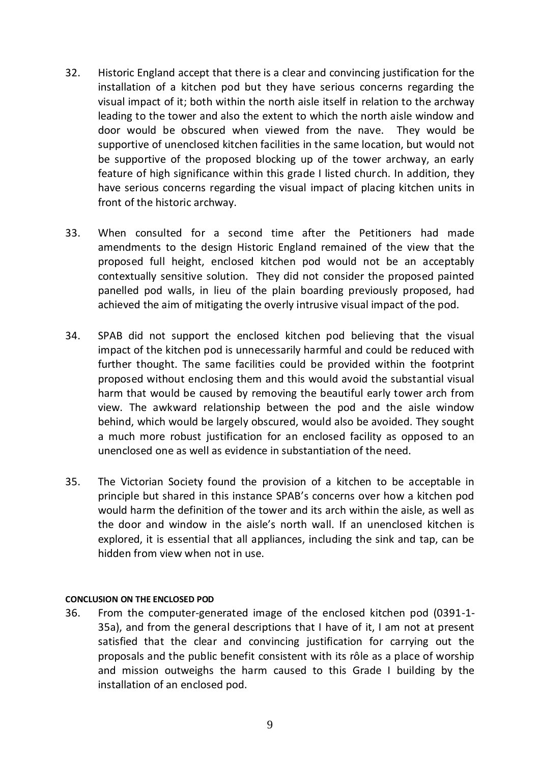- 32. Historic England accept that there is a clear and convincing justification for the installation of a kitchen pod but they have serious concerns regarding the visual impact of it; both within the north aisle itself in relation to the archway leading to the tower and also the extent to which the north aisle window and door would be obscured when viewed from the nave. They would be supportive of unenclosed kitchen facilities in the same location, but would not be supportive of the proposed blocking up of the tower archway, an early feature of high significance within this grade I listed church. In addition, they have serious concerns regarding the visual impact of placing kitchen units in front of the historic archway.
- 33. When consulted for a second time after the Petitioners had made amendments to the design Historic England remained of the view that the proposed full height, enclosed kitchen pod would not be an acceptably contextually sensitive solution. They did not consider the proposed painted panelled pod walls, in lieu of the plain boarding previously proposed, had achieved the aim of mitigating the overly intrusive visual impact of the pod.
- 34. SPAB did not support the enclosed kitchen pod believing that the visual impact of the kitchen pod is unnecessarily harmful and could be reduced with further thought. The same facilities could be provided within the footprint proposed without enclosing them and this would avoid the substantial visual harm that would be caused by removing the beautiful early tower arch from view. The awkward relationship between the pod and the aisle window behind, which would be largely obscured, would also be avoided. They sought a much more robust justification for an enclosed facility as opposed to an unenclosed one as well as evidence in substantiation of the need.
- 35. The Victorian Society found the provision of a kitchen to be acceptable in principle but shared in this instance SPAB's concerns over how a kitchen pod would harm the definition of the tower and its arch within the aisle, as well as the door and window in the aisle's north wall. If an unenclosed kitchen is explored, it is essential that all appliances, including the sink and tap, can be hidden from view when not in use.

#### **CONCLUSION ON THE ENCLOSED POD**

36. From the computer-generated image of the enclosed kitchen pod (0391-1- 35a), and from the general descriptions that I have of it, I am not at present satisfied that the clear and convincing justification for carrying out the proposals and the public benefit consistent with its rôle as a place of worship and mission outweighs the harm caused to this Grade I building by the installation of an enclosed pod.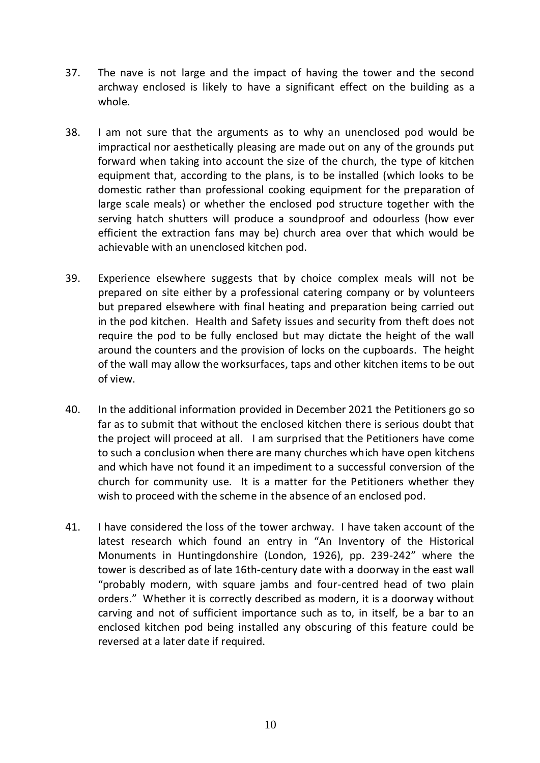- 37. The nave is not large and the impact of having the tower and the second archway enclosed is likely to have a significant effect on the building as a whole.
- 38. I am not sure that the arguments as to why an unenclosed pod would be impractical nor aesthetically pleasing are made out on any of the grounds put forward when taking into account the size of the church, the type of kitchen equipment that, according to the plans, is to be installed (which looks to be domestic rather than professional cooking equipment for the preparation of large scale meals) or whether the enclosed pod structure together with the serving hatch shutters will produce a soundproof and odourless (how ever efficient the extraction fans may be) church area over that which would be achievable with an unenclosed kitchen pod.
- 39. Experience elsewhere suggests that by choice complex meals will not be prepared on site either by a professional catering company or by volunteers but prepared elsewhere with final heating and preparation being carried out in the pod kitchen. Health and Safety issues and security from theft does not require the pod to be fully enclosed but may dictate the height of the wall around the counters and the provision of locks on the cupboards. The height of the wall may allow the worksurfaces, taps and other kitchen items to be out of view.
- 40. In the additional information provided in December 2021 the Petitioners go so far as to submit that without the enclosed kitchen there is serious doubt that the project will proceed at all. I am surprised that the Petitioners have come to such a conclusion when there are many churches which have open kitchens and which have not found it an impediment to a successful conversion of the church for community use. It is a matter for the Petitioners whether they wish to proceed with the scheme in the absence of an enclosed pod.
- 41. I have considered the loss of the tower archway. I have taken account of the latest research which found an entry in "An Inventory of the Historical Monuments in Huntingdonshire (London, 1926), pp. 239-242" where the tower is described as of late 16th-century date with a doorway in the east wall "probably modern, with square jambs and four-centred head of two plain orders." Whether it is correctly described as modern, it is a doorway without carving and not of sufficient importance such as to, in itself, be a bar to an enclosed kitchen pod being installed any obscuring of this feature could be reversed at a later date if required.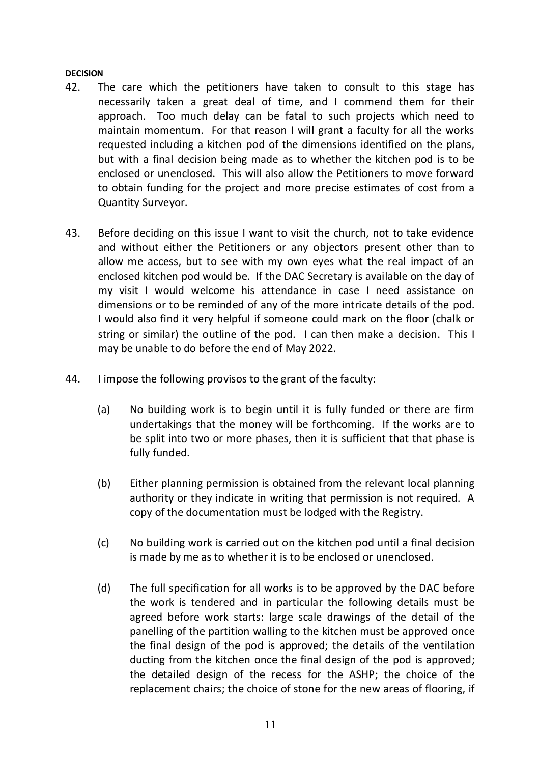#### **DECISION**

- 42. The care which the petitioners have taken to consult to this stage has necessarily taken a great deal of time, and I commend them for their approach. Too much delay can be fatal to such projects which need to maintain momentum. For that reason I will grant a faculty for all the works requested including a kitchen pod of the dimensions identified on the plans, but with a final decision being made as to whether the kitchen pod is to be enclosed or unenclosed. This will also allow the Petitioners to move forward to obtain funding for the project and more precise estimates of cost from a Quantity Surveyor.
- 43. Before deciding on this issue I want to visit the church, not to take evidence and without either the Petitioners or any objectors present other than to allow me access, but to see with my own eyes what the real impact of an enclosed kitchen pod would be. If the DAC Secretary is available on the day of my visit I would welcome his attendance in case I need assistance on dimensions or to be reminded of any of the more intricate details of the pod. I would also find it very helpful if someone could mark on the floor (chalk or string or similar) the outline of the pod. I can then make a decision. This I may be unable to do before the end of May 2022.
- 44. I impose the following provisos to the grant of the faculty:
	- (a) No building work is to begin until it is fully funded or there are firm undertakings that the money will be forthcoming. If the works are to be split into two or more phases, then it is sufficient that that phase is fully funded.
	- (b) Either planning permission is obtained from the relevant local planning authority or they indicate in writing that permission is not required. A copy of the documentation must be lodged with the Registry.
	- (c) No building work is carried out on the kitchen pod until a final decision is made by me as to whether it is to be enclosed or unenclosed.
	- (d) The full specification for all works is to be approved by the DAC before the work is tendered and in particular the following details must be agreed before work starts: large scale drawings of the detail of the panelling of the partition walling to the kitchen must be approved once the final design of the pod is approved; the details of the ventilation ducting from the kitchen once the final design of the pod is approved; the detailed design of the recess for the ASHP; the choice of the replacement chairs; the choice of stone for the new areas of flooring, if